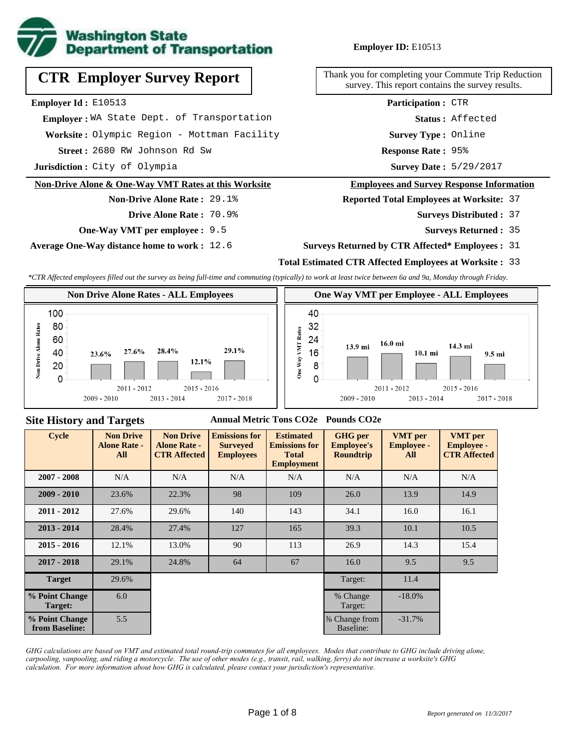

# **CTR Employer Survey Report**

**Employer Id :** E10513

 **Employer :** WA State Dept. of Transportation

**Worksite :** Olympic Region - Mottman Facility

2680 RW Johnson Rd Sw **Response Rate : Street :**

**Jurisdiction :** City of Olympia

#### **Non-Drive Alone & One-Way VMT Rates at this Worksite**

#### **Non-Drive Alone Rate :** 29.1%

**Drive Alone Rate :** 70.9%

**One-Way VMT per employee :** 9.5

**Average One-Way distance home to work :** 12.6

#### **Employer ID:** E10513

Thank you for completing your Commute Trip Reduction survey. This report contains the survey results.

**Participation :** CTR

**Status :** Affected

**Survey Type :** Online

Response Rate: 95%

Survey Date: 5/29/2017

#### **Employees and Survey Response Information**

**Reported Total Employees at Worksite:** 37

- Surveys Distributed : 37
	- **Surveys Returned :** 35

#### **Surveys Returned by CTR Affected\* Employees :** 31

#### **Total Estimated CTR Affected Employees at Worksite :** 33

*\*CTR Affected employees filled out the survey as being full-time and commuting (typically) to work at least twice between 6a and 9a, Monday through Friday.*



#### **Site History and Targets**

#### **Annual Metric Tons CO2e Pounds CO2e**

| <b>Cycle</b>                     | <b>Non Drive</b><br><b>Alone Rate -</b><br>All | <b>Non Drive</b><br><b>Alone Rate -</b><br><b>CTR Affected</b> | <b>Emissions for</b><br><b>Surveyed</b><br><b>Employees</b> | <b>Estimated</b><br><b>Emissions for</b><br><b>Total</b><br><b>Employment</b> | <b>GHG</b> per<br><b>Employee's</b><br><b>Roundtrip</b> | <b>VMT</b> per<br><b>Employee -</b><br>All | <b>VMT</b> per<br><b>Employee -</b><br><b>CTR Affected</b> |
|----------------------------------|------------------------------------------------|----------------------------------------------------------------|-------------------------------------------------------------|-------------------------------------------------------------------------------|---------------------------------------------------------|--------------------------------------------|------------------------------------------------------------|
| $2007 - 2008$                    | N/A                                            | N/A                                                            | N/A                                                         | N/A                                                                           | N/A                                                     | N/A                                        | N/A                                                        |
| $2009 - 2010$                    | 23.6%                                          | 22.3%                                                          | 98                                                          | 109                                                                           | 26.0                                                    | 13.9                                       | 14.9                                                       |
| $2011 - 2012$                    | 27.6%                                          | 29.6%                                                          | 140                                                         | 143                                                                           | 34.1                                                    | 16.0                                       | 16.1                                                       |
| $2013 - 2014$                    | 28.4%                                          | 27.4%                                                          | 127                                                         | 165                                                                           | 39.3                                                    | 10.1                                       | 10.5                                                       |
| $2015 - 2016$                    | 12.1%                                          | 13.0%                                                          | 90                                                          | 113                                                                           | 26.9                                                    | 14.3                                       | 15.4                                                       |
| $2017 - 2018$                    | 29.1%                                          | 24.8%                                                          | 64                                                          | 67                                                                            | 16.0                                                    | 9.5                                        | 9.5                                                        |
| <b>Target</b>                    | 29.6%                                          |                                                                |                                                             |                                                                               | Target:                                                 | 11.4                                       |                                                            |
| % Point Change<br><b>Target:</b> | 6.0                                            |                                                                |                                                             |                                                                               | % Change<br>Target:                                     | $-18.0\%$                                  |                                                            |
| % Point Change<br>from Baseline: | 5.5                                            |                                                                |                                                             |                                                                               | % Change from<br>Baseline:                              | $-31.7%$                                   |                                                            |

*GHG calculations are based on VMT and estimated total round-trip commutes for all employees. Modes that contribute to GHG include driving alone, carpooling, vanpooling, and riding a motorcycle. The use of other modes (e.g., transit, rail, walking, ferry) do not increase a worksite's GHG calculation. For more information about how GHG is calculated, please contact your jurisdiction's representative.*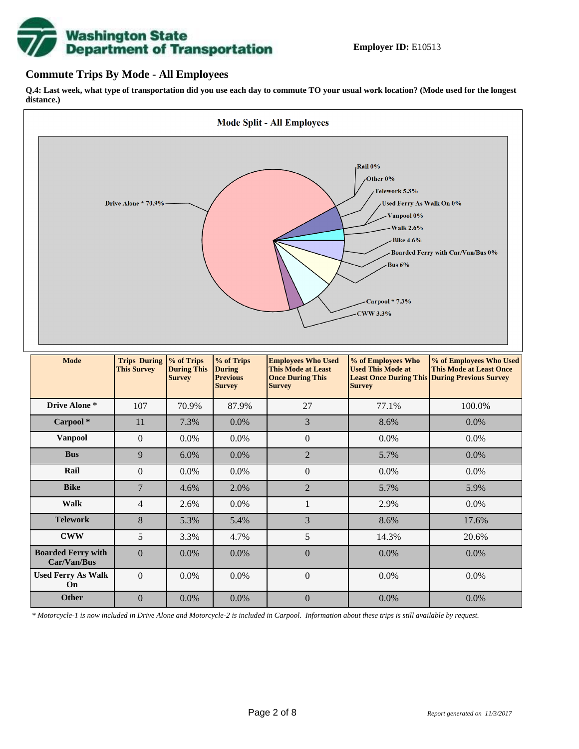# **Washington State<br>Department of Transportation**

#### **Commute Trips By Mode - All Employees**

**Q.4: Last week, what type of transportation did you use each day to commute TO your usual work location? (Mode used for the longest distance.)**



*\* Motorcycle-1 is now included in Drive Alone and Motorcycle-2 is included in Carpool. Information about these trips is still available by request.*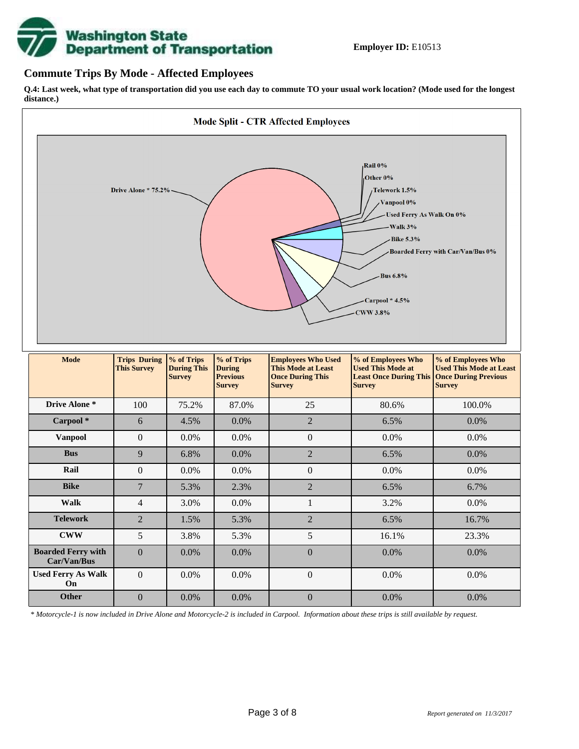

#### **Commute Trips By Mode - Affected Employees**

**Q.4: Last week, what type of transportation did you use each day to commute TO your usual work location? (Mode used for the longest distance.)**



*\* Motorcycle-1 is now included in Drive Alone and Motorcycle-2 is included in Carpool. Information about these trips is still available by request.*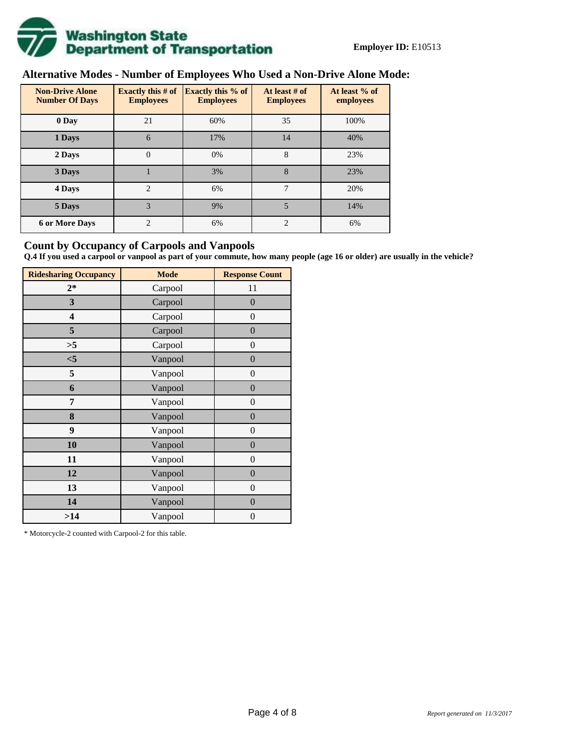

# **Alternative Modes - Number of Employees Who Used a Non-Drive Alone Mode:**

| <b>Non-Drive Alone</b><br><b>Number Of Days</b> | Exactly this $#$ of<br><b>Employees</b> | <b>Exactly this % of</b><br><b>Employees</b> | At least # of<br><b>Employees</b> | At least % of<br>employees |  |  |
|-------------------------------------------------|-----------------------------------------|----------------------------------------------|-----------------------------------|----------------------------|--|--|
| 0 Day                                           | 21                                      | 60%                                          | 35                                | 100%                       |  |  |
| 1 Days                                          | 6                                       | 17%                                          | 14                                | 40%                        |  |  |
| 2 Days                                          | $\overline{0}$                          | 0%                                           | 8                                 | 23%                        |  |  |
| 3 Days                                          |                                         | 3%                                           | 8                                 | 23%                        |  |  |
| 4 Days                                          | $\mathfrak{D}$                          | 6%                                           | 7                                 | 20%                        |  |  |
| 5 Days                                          | 3                                       | 9%                                           | 5                                 | 14%                        |  |  |
| <b>6 or More Days</b>                           | $\overline{c}$                          | 6%                                           | $\overline{c}$                    | 6%                         |  |  |

#### **Count by Occupancy of Carpools and Vanpools**

**Q.4 If you used a carpool or vanpool as part of your commute, how many people (age 16 or older) are usually in the vehicle?**

| <b>Ridesharing Occupancy</b> | <b>Mode</b> | <b>Response Count</b> |
|------------------------------|-------------|-----------------------|
| $2*$                         | Carpool     | 11                    |
| 3                            | Carpool     | $\overline{0}$        |
| 4                            | Carpool     | $\boldsymbol{0}$      |
| 5                            | Carpool     | $\boldsymbol{0}$      |
| >5                           | Carpool     | $\boldsymbol{0}$      |
| $<$ 5                        | Vanpool     | $\overline{0}$        |
| 5                            | Vanpool     | $\overline{0}$        |
| 6                            | Vanpool     | $\boldsymbol{0}$      |
| 7                            | Vanpool     | $\boldsymbol{0}$      |
| 8                            | Vanpool     | $\overline{0}$        |
| 9                            | Vanpool     | $\overline{0}$        |
| 10                           | Vanpool     | $\overline{0}$        |
| 11                           | Vanpool     | $\boldsymbol{0}$      |
| 12                           | Vanpool     | $\boldsymbol{0}$      |
| 13                           | Vanpool     | $\overline{0}$        |
| 14                           | Vanpool     | $\overline{0}$        |
| >14                          | Vanpool     | $\boldsymbol{0}$      |

\* Motorcycle-2 counted with Carpool-2 for this table.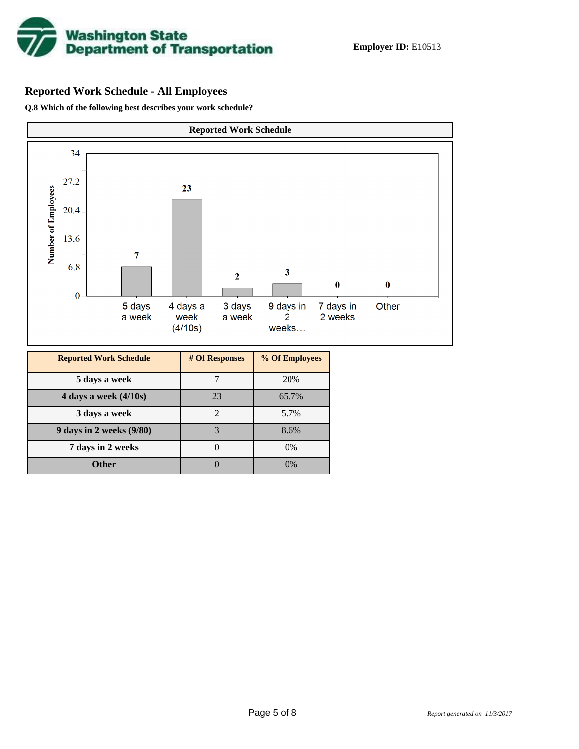

# **Reported Work Schedule - All Employees**

**Q.8 Which of the following best describes your work schedule?**

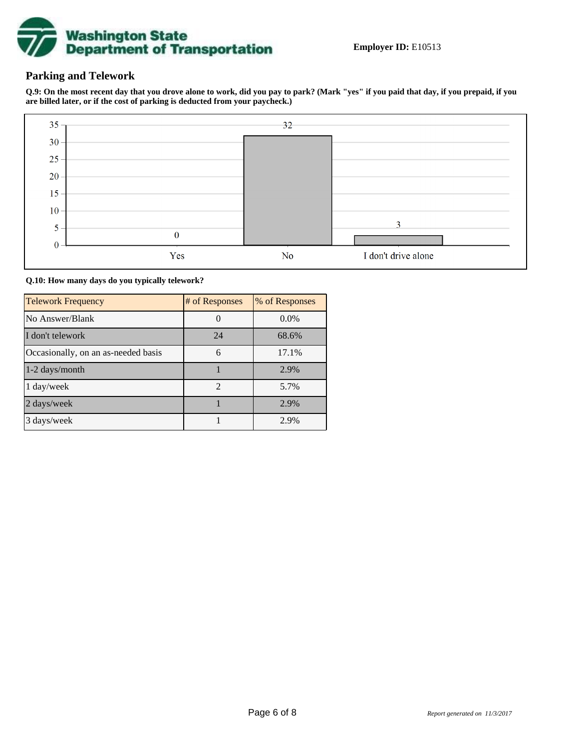

### **Parking and Telework**

**Q.9: On the most recent day that you drove alone to work, did you pay to park? (Mark "yes" if you paid that day, if you prepaid, if you are billed later, or if the cost of parking is deducted from your paycheck.)**



**Q.10: How many days do you typically telework?**

| <b>Telework Frequency</b>           | # of Responses | % of Responses |
|-------------------------------------|----------------|----------------|
| No Answer/Blank                     |                | $0.0\%$        |
| I don't telework                    | 24             | 68.6%          |
| Occasionally, on an as-needed basis | 6              | 17.1%          |
| $1-2$ days/month                    |                | 2.9%           |
| 1 day/week                          | $\overline{2}$ | 5.7%           |
| 2 days/week                         |                | 2.9%           |
| 3 days/week                         |                | 2.9%           |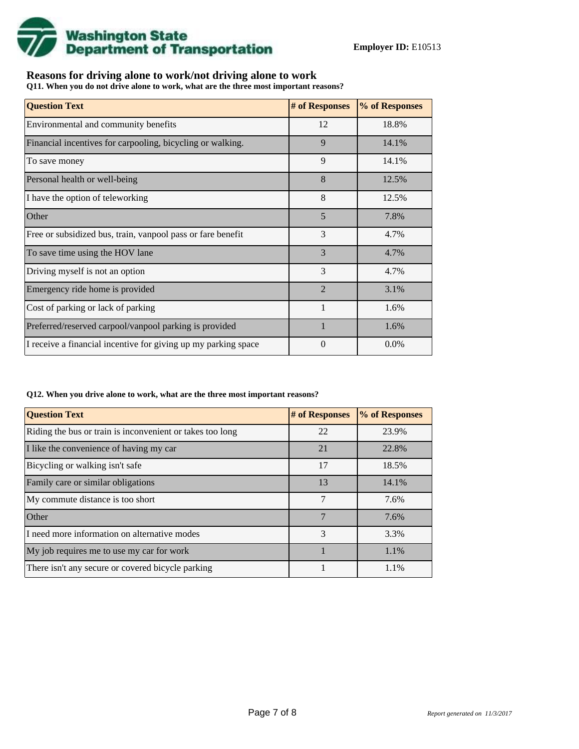

## **Reasons for driving alone to work/not driving alone to work**

**Q11. When you do not drive alone to work, what are the three most important reasons?**

| <b>Question Text</b>                                           | # of Responses | % of Responses |
|----------------------------------------------------------------|----------------|----------------|
| Environmental and community benefits                           | 12             | 18.8%          |
| Financial incentives for carpooling, bicycling or walking.     | 9              | 14.1%          |
| To save money                                                  | 9              | 14.1%          |
| Personal health or well-being                                  | 8              | 12.5%          |
| I have the option of teleworking                               | 8              | 12.5%          |
| Other                                                          | 5              | 7.8%           |
| Free or subsidized bus, train, vanpool pass or fare benefit    | 3              | 4.7%           |
| To save time using the HOV lane                                | 3              | 4.7%           |
| Driving myself is not an option                                | 3              | 4.7%           |
| Emergency ride home is provided                                | $\overline{2}$ | 3.1%           |
| Cost of parking or lack of parking                             |                | 1.6%           |
| Preferred/reserved carpool/vanpool parking is provided         | $\mathbf{1}$   | 1.6%           |
| I receive a financial incentive for giving up my parking space | 0              | $0.0\%$        |

#### **Q12. When you drive alone to work, what are the three most important reasons?**

| <b>Question Text</b>                                      | # of Responses | % of Responses |
|-----------------------------------------------------------|----------------|----------------|
| Riding the bus or train is inconvenient or takes too long | 22             | 23.9%          |
| I like the convenience of having my car                   | 21             | 22.8%          |
| Bicycling or walking isn't safe                           | 17             | 18.5%          |
| Family care or similar obligations                        | 13             | 14.1%          |
| My commute distance is too short                          | 7              | 7.6%           |
| Other                                                     | 7              | 7.6%           |
| I need more information on alternative modes              | 3              | 3.3%           |
| My job requires me to use my car for work                 |                | 1.1%           |
| There isn't any secure or covered bicycle parking         |                | 1.1%           |